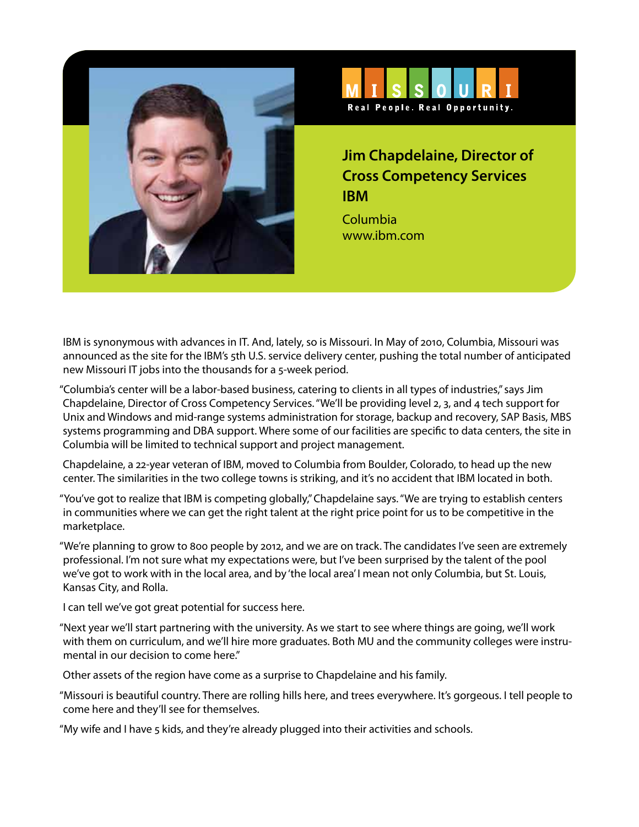



## **Jim Chapdelaine, Director of Cross Competency Services IBM**

Columbia www.ibm.com

IBM is synonymous with advances in IT. And, lately, so is Missouri. In May of 2010, Columbia, Missouri was announced as the site for the IBM's 5th U.S. service delivery center, pushing the total number of anticipated new Missouri IT jobs into the thousands for a 5-week period.

"Columbia's center will be a labor-based business, catering to clients in all types of industries," says Jim Chapdelaine, Director of Cross Competency Services. "We'll be providing level 2, 3, and 4 tech support for Unix and Windows and mid-range systems administration for storage, backup and recovery, SAP Basis, MBS systems programming and DBA support. Where some of our facilities are specific to data centers, the site in Columbia will be limited to technical support and project management.

Chapdelaine, a 22-year veteran of IBM, moved to Columbia from Boulder, Colorado, to head up the new center. The similarities in the two college towns is striking, and it's no accident that IBM located in both.

"You've got to realize that IBM is competing globally," Chapdelaine says. "We are trying to establish centers in communities where we can get the right talent at the right price point for us to be competitive in the marketplace.

"We're planning to grow to 800 people by 2012, and we are on track. The candidates I've seen are extremely professional. I'm not sure what my expectations were, but I've been surprised by the talent of the pool we've got to work with in the local area, and by 'the local area' I mean not only Columbia, but St. Louis, Kansas City, and Rolla.

I can tell we've got great potential for success here.

"Next year we'll start partnering with the university. As we start to see where things are going, we'll work with them on curriculum, and we'll hire more graduates. Both MU and the community colleges were instrumental in our decision to come here."

Other assets of the region have come as a surprise to Chapdelaine and his family.

"Missouri is beautiful country. There are rolling hills here, and trees everywhere. It's gorgeous. I tell people to come here and they'll see for themselves.

"My wife and I have 5 kids, and they're already plugged into their activities and schools.